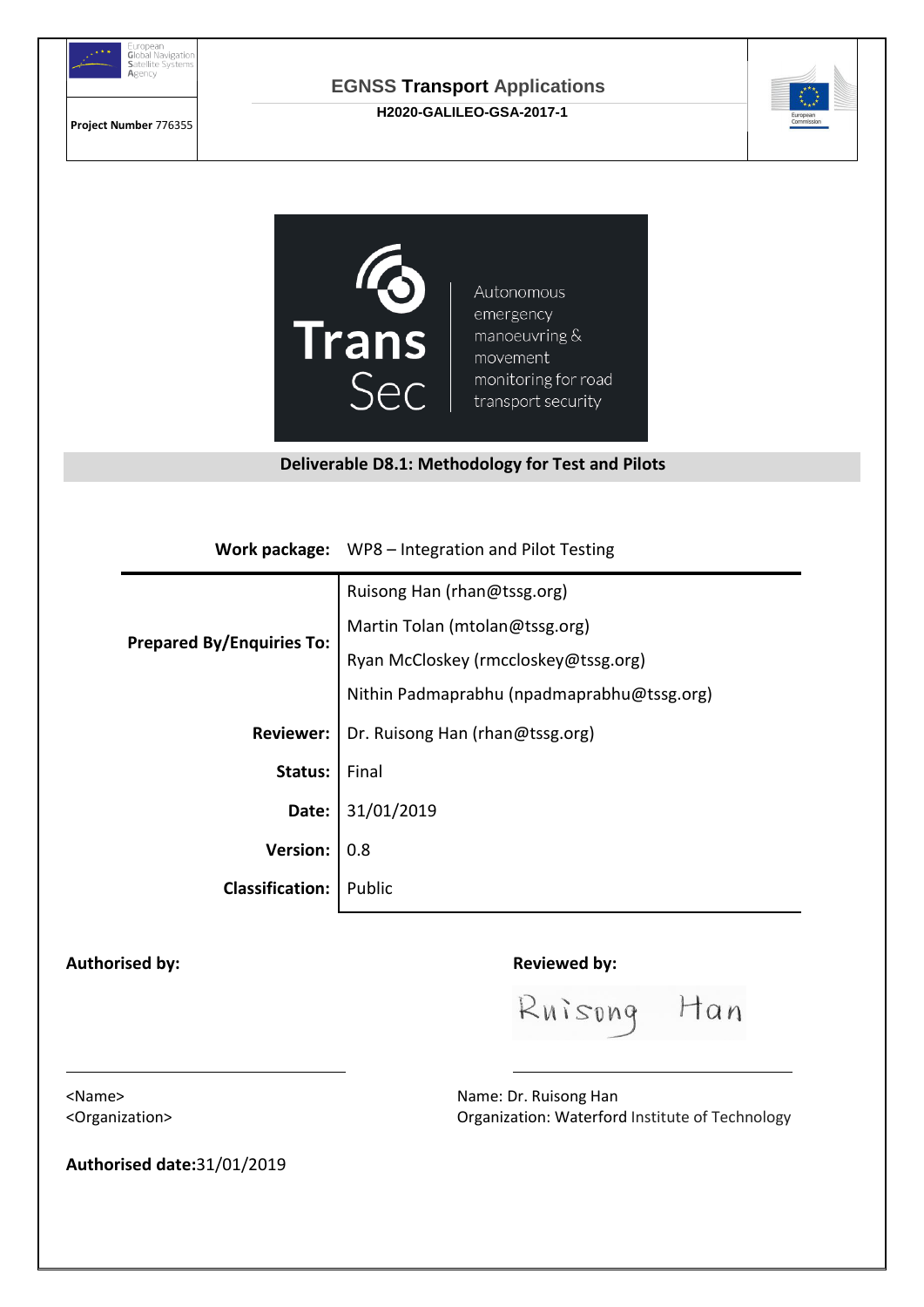

**Project Number** 776355

#### **EGNSS Transport Applications H2020-GALILEO-GSA-2017-1**





Autonomous emergency manoeuvring & movement monitoring for road transport security

#### **Deliverable D8.1: Methodology for Test and Pilots**

**Work package:** WP8 – Integration and Pilot Testing

|                                  | Ruisong Han (rhan@tssg.org)                |
|----------------------------------|--------------------------------------------|
| <b>Prepared By/Enquiries To:</b> | Martin Tolan (mtolan@tssg.org)             |
|                                  | Ryan McCloskey (rmccloskey@tssg.org)       |
|                                  | Nithin Padmaprabhu (npadmaprabhu@tssg.org) |
| <b>Reviewer:</b>                 | Dr. Ruisong Han (rhan@tssg.org)            |
| Status:                          | Final                                      |
| Date:                            | 31/01/2019                                 |
| <b>Version:</b>                  | 0.8                                        |
| <b>Classification:</b>           | Public                                     |

Authorised by: **Reviewed by: Reviewed by:** 

Ruisong Han

<Name>
Name>
Name>
Name>
Name:
Dr. Ruisong Han <Organization> Organization: Waterford Institute of Technology

**Authorised date:**31/01/2019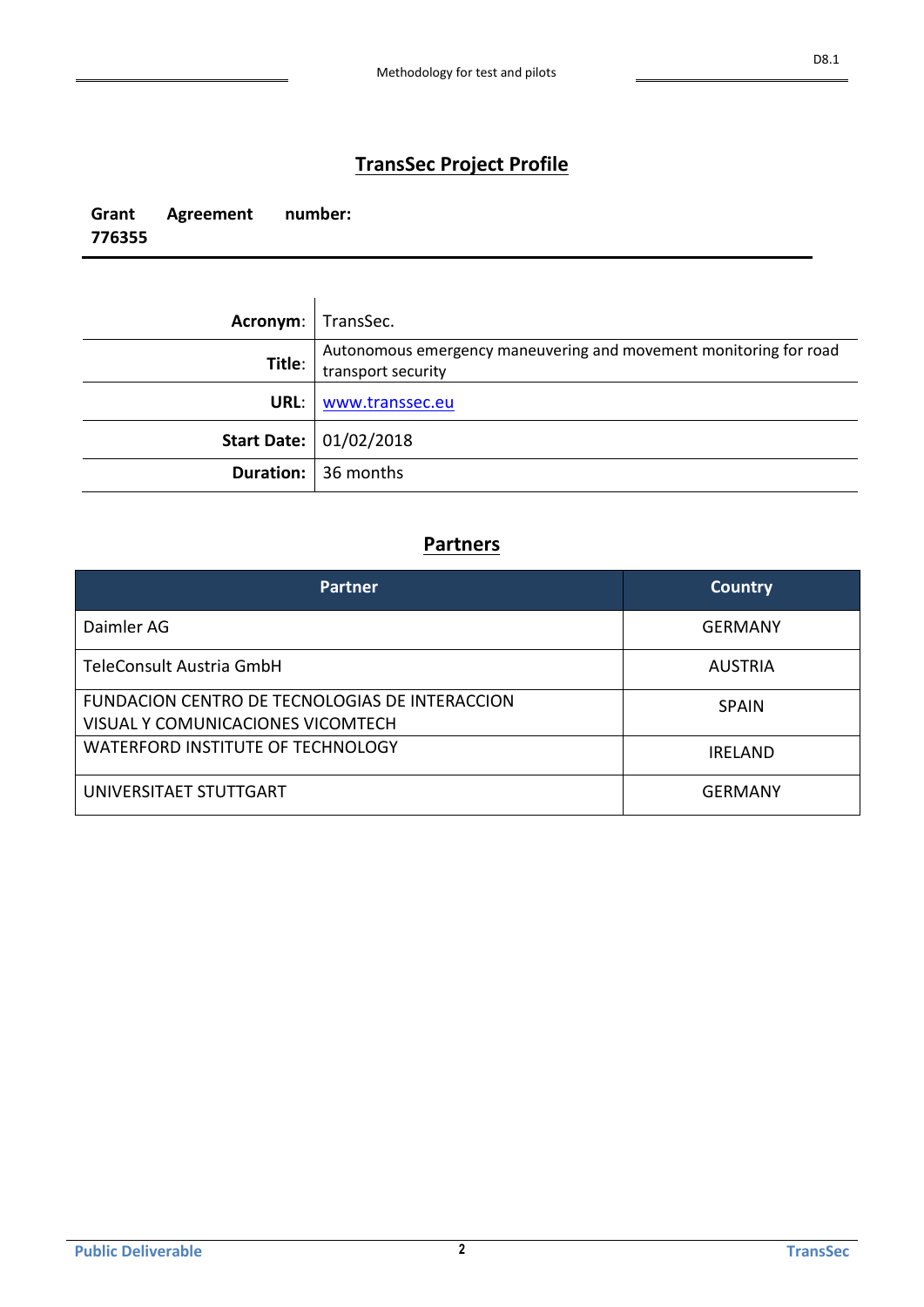### **TransSec Project Profile**

**Grant Agreement number: 776355**

| Acronym:   TransSec. |                                                                                         |
|----------------------|-----------------------------------------------------------------------------------------|
| Title:               | Autonomous emergency maneuvering and movement monitoring for road<br>transport security |
| URL: I               | www.transsec.eu                                                                         |
|                      | Start Date: 01/02/2018                                                                  |
|                      | <b>Duration:</b> 36 months                                                              |

### **Partners**

| <b>Partner</b>                                                                      | <b>Country</b> |
|-------------------------------------------------------------------------------------|----------------|
| Daimler AG                                                                          | <b>GERMANY</b> |
| TeleConsult Austria GmbH                                                            | <b>AUSTRIA</b> |
| FUNDACION CENTRO DE TECNOLOGIAS DE INTERACCION<br>VISUAL Y COMUNICACIONES VICOMTECH | <b>SPAIN</b>   |
| WATERFORD INSTITUTE OF TECHNOLOGY                                                   | <b>IRELAND</b> |
| UNIVERSITAET STUTTGART                                                              | GERMANY        |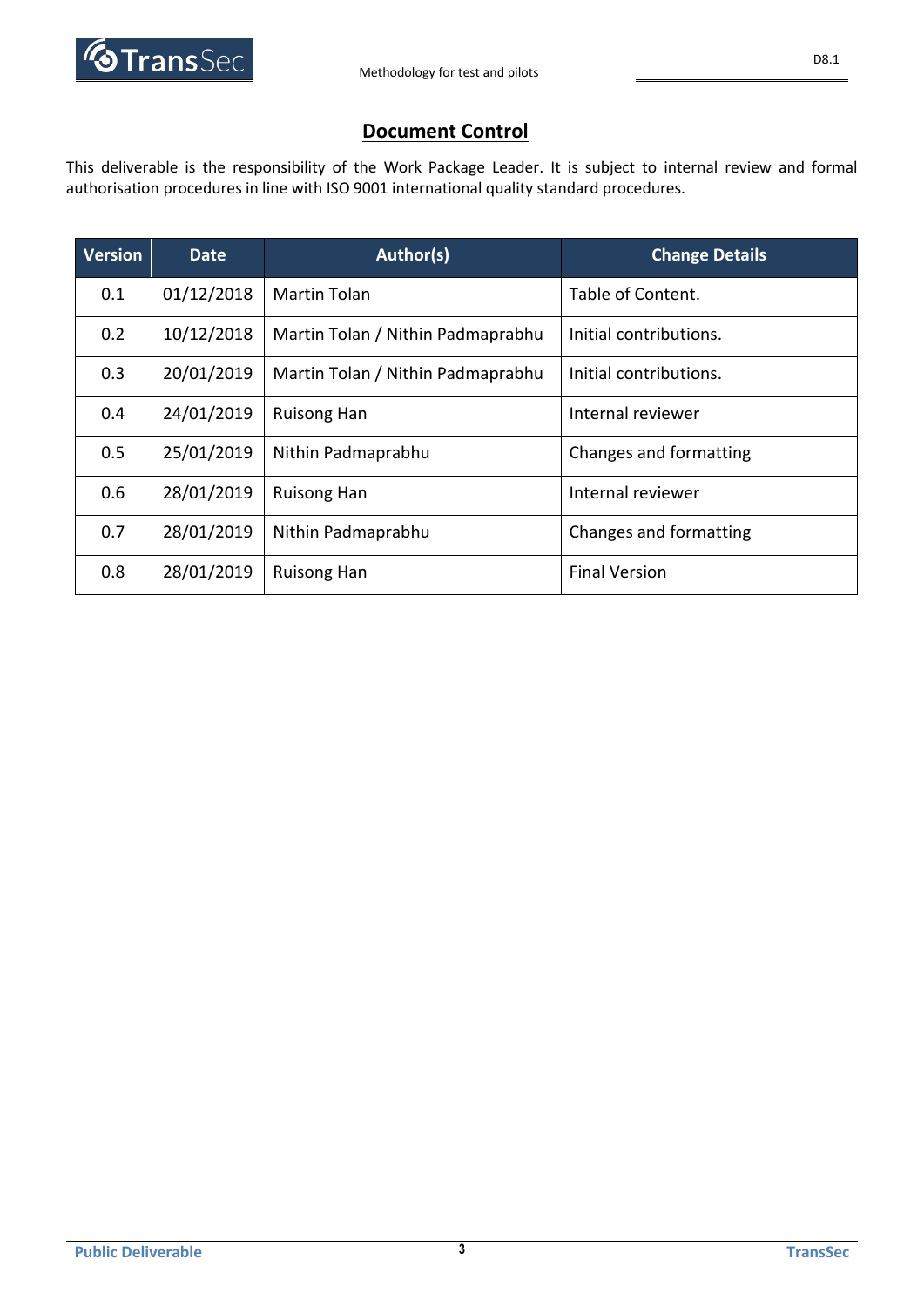

### **Document Control**

This deliverable is the responsibility of the Work Package Leader. It is subject to internal review and formal authorisation procedures in line with ISO 9001 international quality standard procedures.

| <b>Version</b> | <b>Date</b> | Author(s)                         | <b>Change Details</b>  |
|----------------|-------------|-----------------------------------|------------------------|
| 0.1            | 01/12/2018  | Martin Tolan                      | Table of Content.      |
| 0.2            | 10/12/2018  | Martin Tolan / Nithin Padmaprabhu | Initial contributions. |
| 0.3            | 20/01/2019  | Martin Tolan / Nithin Padmaprabhu | Initial contributions. |
| 0.4            | 24/01/2019  | <b>Ruisong Han</b>                | Internal reviewer      |
| 0.5            | 25/01/2019  | Nithin Padmaprabhu                | Changes and formatting |
| 0.6            | 28/01/2019  | <b>Ruisong Han</b>                | Internal reviewer      |
| 0.7            | 28/01/2019  | Nithin Padmaprabhu                | Changes and formatting |
| 0.8            | 28/01/2019  | <b>Ruisong Han</b>                | <b>Final Version</b>   |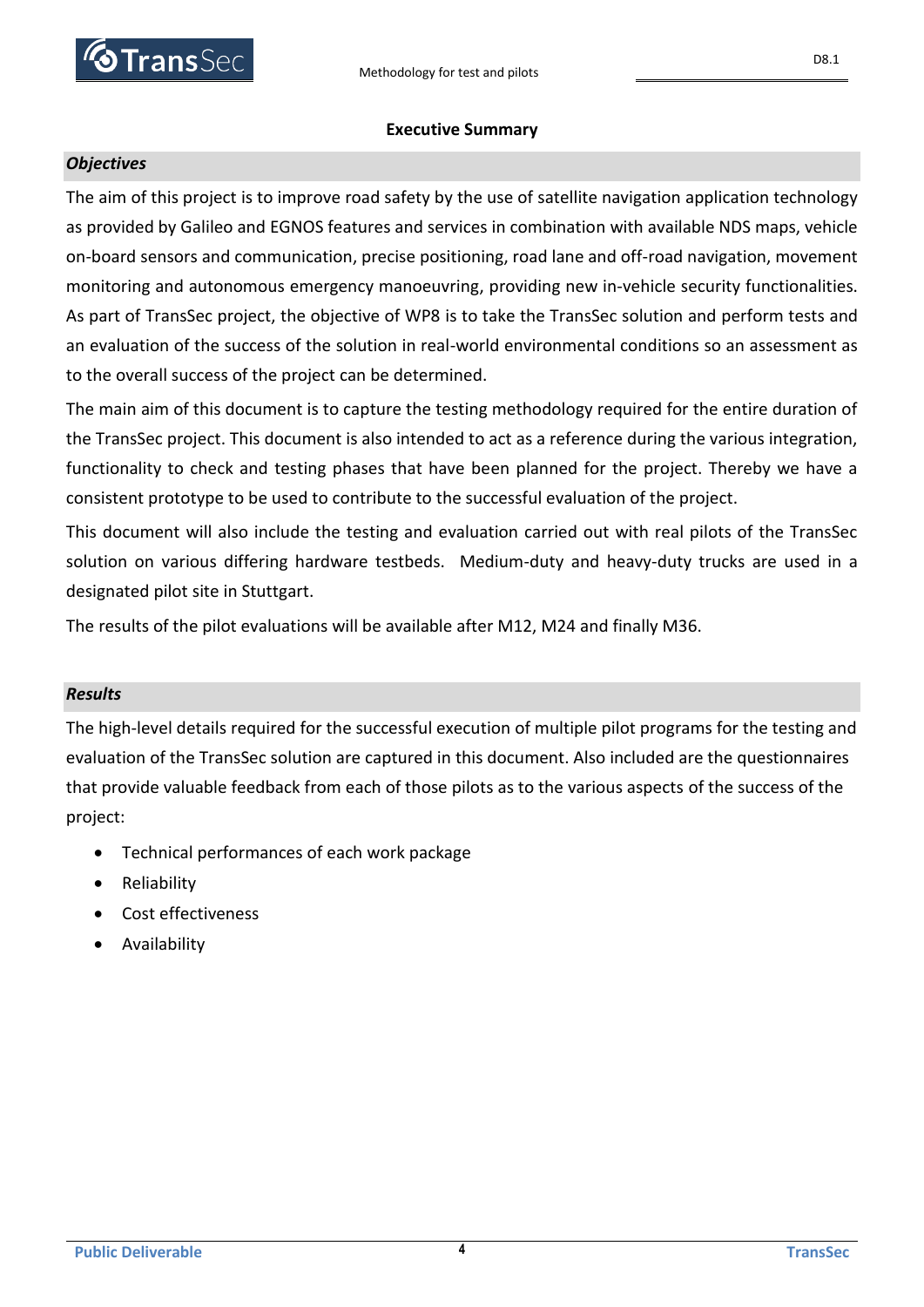

#### **Executive Summary**

#### *Objectives*

The aim of this project is to improve road safety by the use of satellite navigation application technology as provided by Galileo and EGNOS features and services in combination with available NDS maps, vehicle on-board sensors and communication, precise positioning, road lane and off-road navigation, movement monitoring and autonomous emergency manoeuvring, providing new in-vehicle security functionalities. As part of TransSec project, the objective of WP8 is to take the TransSec solution and perform tests and an evaluation of the success of the solution in real-world environmental conditions so an assessment as to the overall success of the project can be determined.

The main aim of this document is to capture the testing methodology required for the entire duration of the TransSec project. This document is also intended to act as a reference during the various integration, functionality to check and testing phases that have been planned for the project. Thereby we have a consistent prototype to be used to contribute to the successful evaluation of the project.

This document will also include the testing and evaluation carried out with real pilots of the TransSec solution on various differing hardware testbeds. Medium-duty and heavy-duty trucks are used in a designated pilot site in Stuttgart.

The results of the pilot evaluations will be available after M12, M24 and finally M36.

#### *Results*

The high-level details required for the successful execution of multiple pilot programs for the testing and evaluation of the TransSec solution are captured in this document. Also included are the questionnaires that provide valuable feedback from each of those pilots as to the various aspects of the success of the project:

- Technical performances of each work package
- Reliability
- Cost effectiveness
- Availability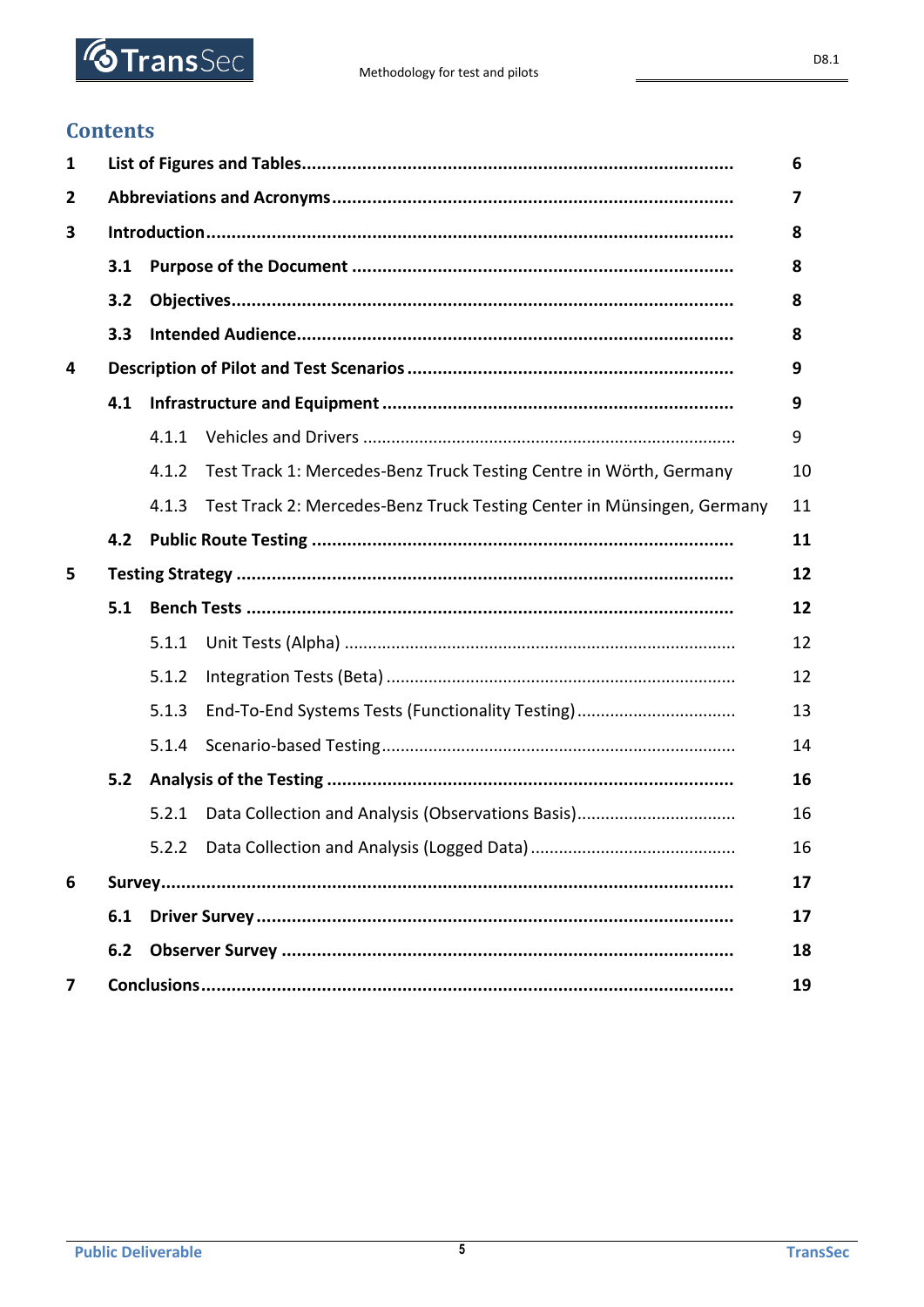

### **Contents**

| 1              |     |       |                                                                        | 6  |  |
|----------------|-----|-------|------------------------------------------------------------------------|----|--|
| $\overline{2}$ |     |       |                                                                        | 7  |  |
| 3              | 8   |       |                                                                        |    |  |
|                | 3.1 |       |                                                                        | 8  |  |
|                | 3.2 |       |                                                                        | 8  |  |
|                | 3.3 |       |                                                                        | 8  |  |
| 4              |     |       |                                                                        | 9  |  |
|                | 4.1 |       |                                                                        | 9  |  |
|                |     | 4.1.1 |                                                                        | 9  |  |
|                |     | 4.1.2 | Test Track 1: Mercedes-Benz Truck Testing Centre in Wörth, Germany     | 10 |  |
|                |     | 4.1.3 | Test Track 2: Mercedes-Benz Truck Testing Center in Münsingen, Germany | 11 |  |
|                | 4.2 |       |                                                                        | 11 |  |
| 5              |     |       |                                                                        | 12 |  |
|                | 5.1 |       |                                                                        | 12 |  |
|                |     | 5.1.1 |                                                                        | 12 |  |
|                |     | 5.1.2 |                                                                        | 12 |  |
|                |     | 5.1.3 | End-To-End Systems Tests (Functionality Testing)                       | 13 |  |
|                |     | 5.1.4 |                                                                        | 14 |  |
|                | 5.2 |       |                                                                        | 16 |  |
|                |     | 5.2.1 |                                                                        | 16 |  |
|                |     |       |                                                                        | 16 |  |
| 6              |     |       |                                                                        | 17 |  |
|                | 6.1 |       |                                                                        | 17 |  |
|                | 6.2 | 18    |                                                                        |    |  |
| $\overline{7}$ |     |       |                                                                        | 19 |  |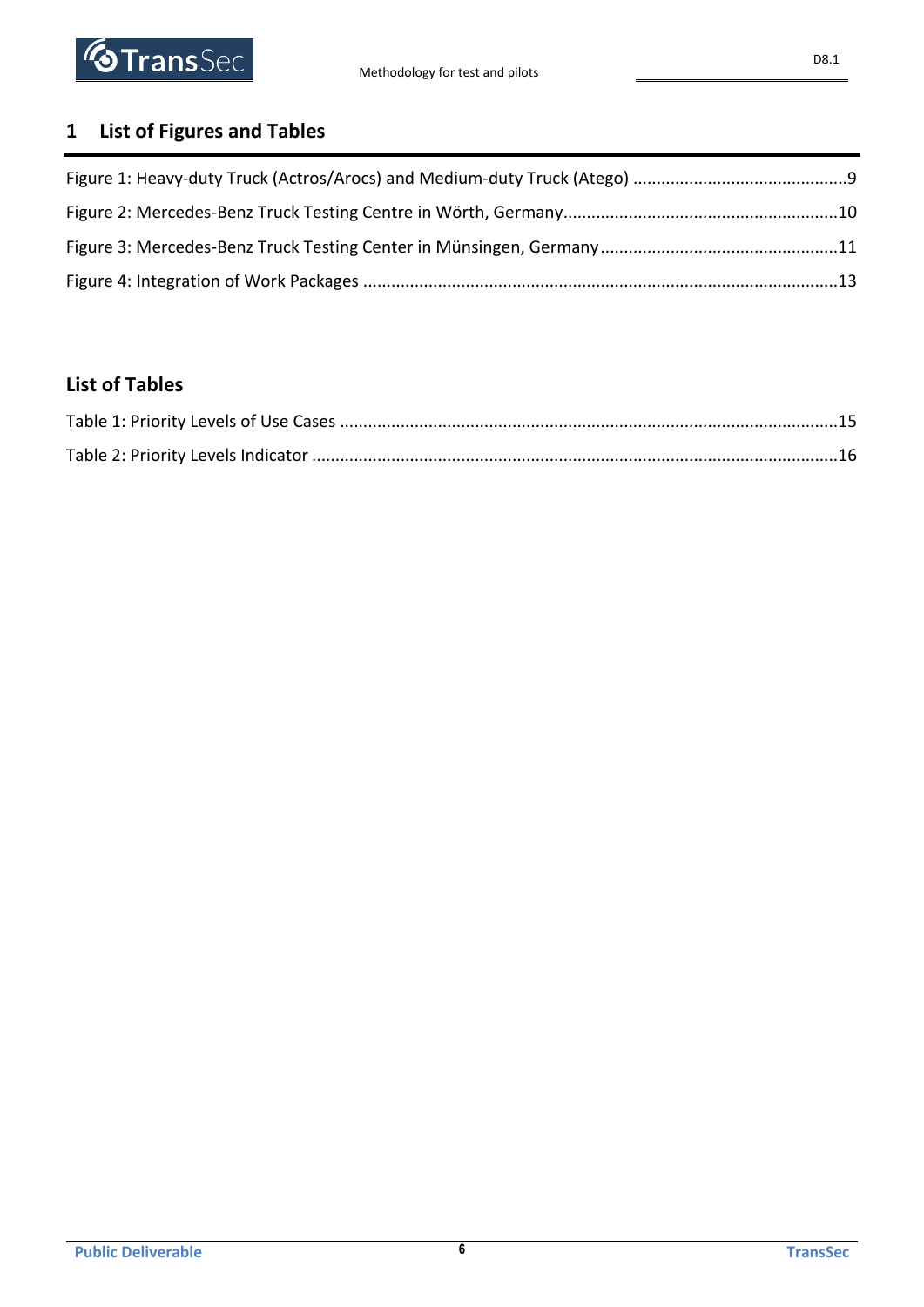

# <span id="page-5-0"></span>**1 List of Figures and Tables**

### **List of Tables**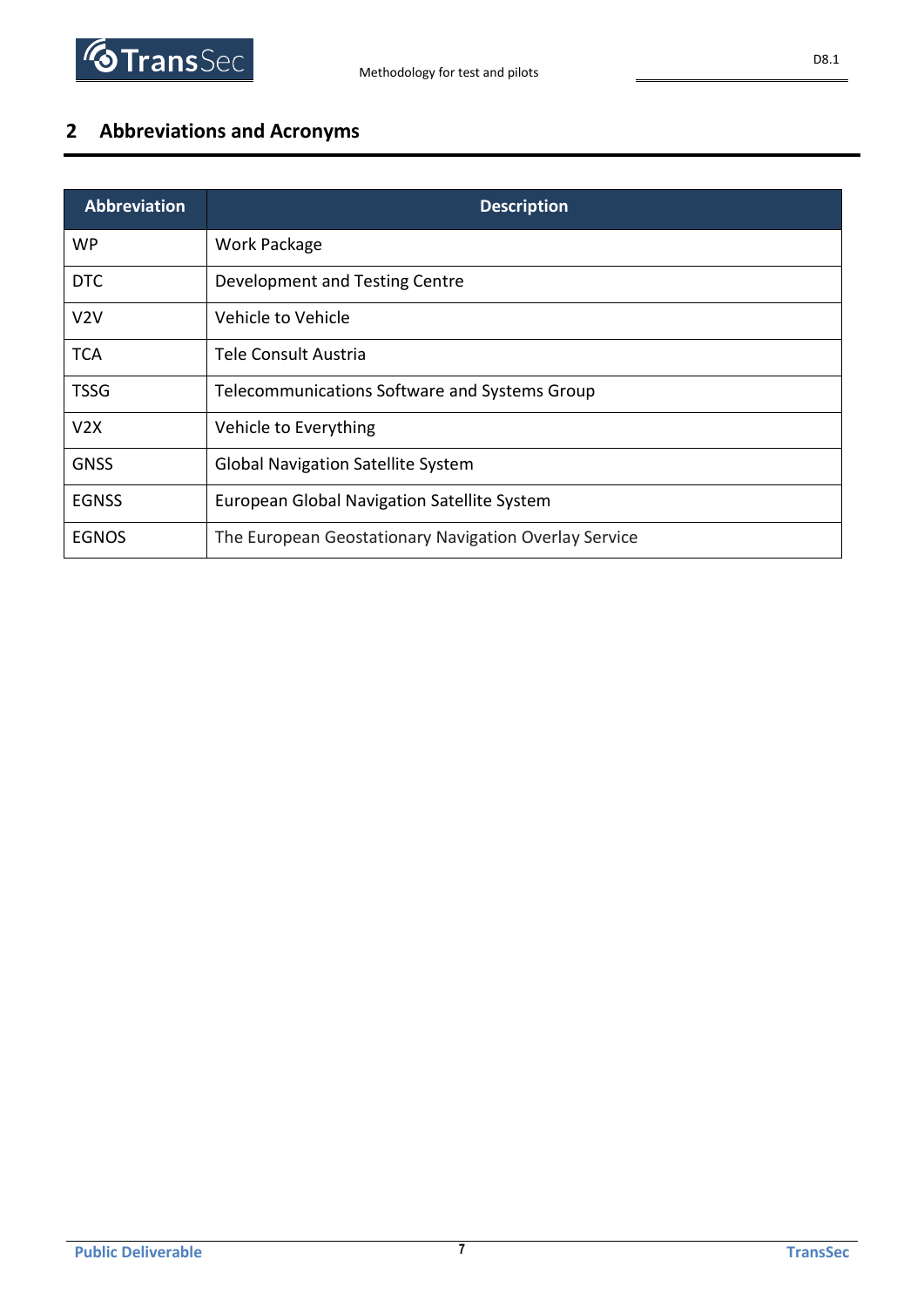

## <span id="page-6-0"></span>**2 Abbreviations and Acronyms**

| <b>Abbreviation</b> | <b>Description</b>                                    |
|---------------------|-------------------------------------------------------|
| <b>WP</b>           | Work Package                                          |
| DTC                 | Development and Testing Centre                        |
| V2V                 | Vehicle to Vehicle                                    |
| <b>TCA</b>          | Tele Consult Austria                                  |
| <b>TSSG</b>         | Telecommunications Software and Systems Group         |
| V2X                 | Vehicle to Everything                                 |
| <b>GNSS</b>         | <b>Global Navigation Satellite System</b>             |
| <b>EGNSS</b>        | European Global Navigation Satellite System           |
| <b>EGNOS</b>        | The European Geostationary Navigation Overlay Service |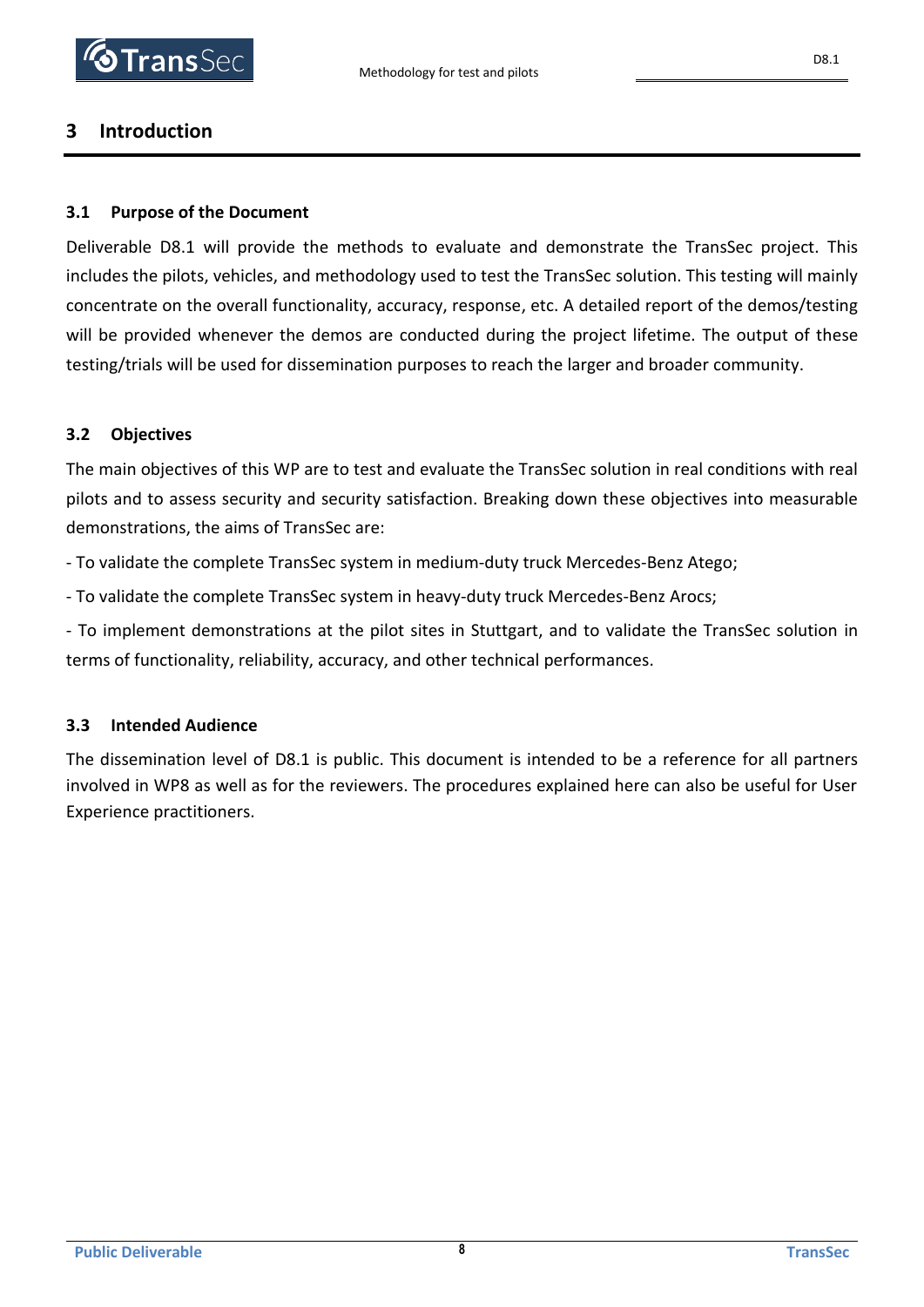### <span id="page-7-0"></span>**3 Introduction**

#### <span id="page-7-1"></span>**3.1 Purpose of the Document**

Deliverable D8.1 will provide the methods to evaluate and demonstrate the TransSec project. This includes the pilots, vehicles, and methodology used to test the TransSec solution. This testing will mainly concentrate on the overall functionality, accuracy, response, etc. A detailed report of the demos/testing will be provided whenever the demos are conducted during the project lifetime. The output of these testing/trials will be used for dissemination purposes to reach the larger and broader community.

#### <span id="page-7-2"></span>**3.2 Objectives**

The main objectives of this WP are to test and evaluate the TransSec solution in real conditions with real pilots and to assess security and security satisfaction. Breaking down these objectives into measurable demonstrations, the aims of TransSec are:

- To validate the complete TransSec system in medium-duty truck Mercedes-Benz Atego;

- To validate the complete TransSec system in heavy-duty truck Mercedes-Benz Arocs;

- To implement demonstrations at the pilot sites in Stuttgart, and to validate the TransSec solution in terms of functionality, reliability, accuracy, and other technical performances.

#### <span id="page-7-3"></span>**3.3 Intended Audience**

The dissemination level of D8.1 is public. This document is intended to be a reference for all partners involved in WP8 as well as for the reviewers. The procedures explained here can also be useful for User Experience practitioners.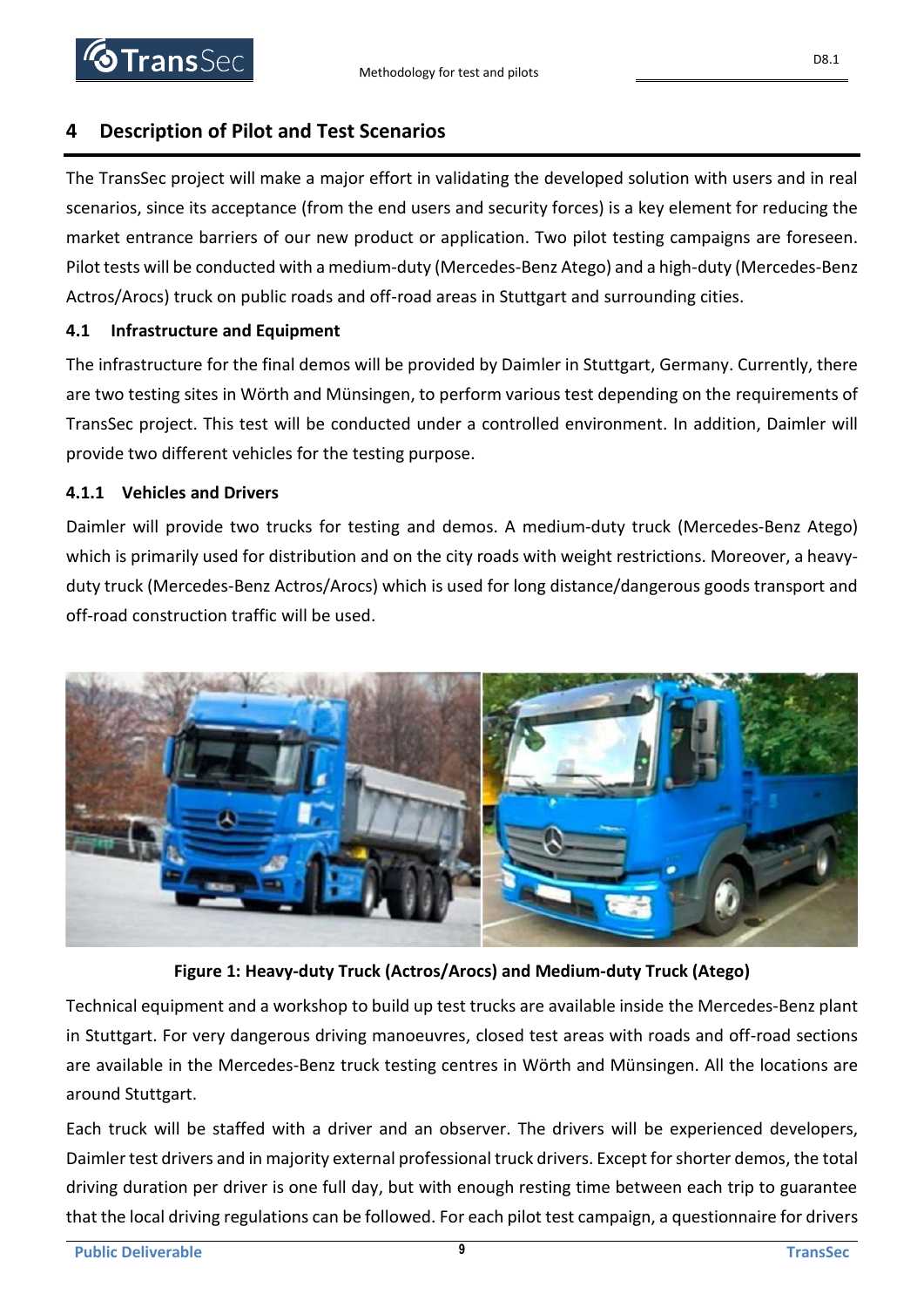### <span id="page-8-0"></span>**4 Description of Pilot and Test Scenarios**

The TransSec project will make a major effort in validating the developed solution with users and in real scenarios, since its acceptance (from the end users and security forces) is a key element for reducing the market entrance barriers of our new product or application. Two pilot testing campaigns are foreseen. Pilot tests will be conducted with a medium-duty (Mercedes-Benz Atego) and a high-duty (Mercedes-Benz Actros/Arocs) truck on public roads and off-road areas in Stuttgart and surrounding cities.

### <span id="page-8-1"></span>**4.1 Infrastructure and Equipment**

The infrastructure for the final demos will be provided by Daimler in Stuttgart, Germany. Currently, there are two testing sites in Wörth and Münsingen, to perform various test depending on the requirements of TransSec project. This test will be conducted under a controlled environment. In addition, Daimler will provide two different vehicles for the testing purpose.

### <span id="page-8-2"></span>**4.1.1 Vehicles and Drivers**

Daimler will provide two trucks for testing and demos. A medium-duty truck (Mercedes-Benz Atego) which is primarily used for distribution and on the city roads with weight restrictions. Moreover, a heavyduty truck (Mercedes-Benz Actros/Arocs) which is used for long distance/dangerous goods transport and off-road construction traffic will be used.



**Figure 1: Heavy-duty Truck (Actros/Arocs) and Medium-duty Truck (Atego)**

Technical equipment and a workshop to build up test trucks are available inside the Mercedes-Benz plant in Stuttgart. For very dangerous driving manoeuvres, closed test areas with roads and off-road sections are available in the Mercedes-Benz truck testing centres in Wörth and Münsingen. All the locations are around Stuttgart.

Each truck will be staffed with a driver and an observer. The drivers will be experienced developers, Daimler test drivers and in majority external professional truck drivers. Except for shorter demos, the total driving duration per driver is one full day, but with enough resting time between each trip to guarantee that the local driving regulations can be followed. For each pilot test campaign, a questionnaire for drivers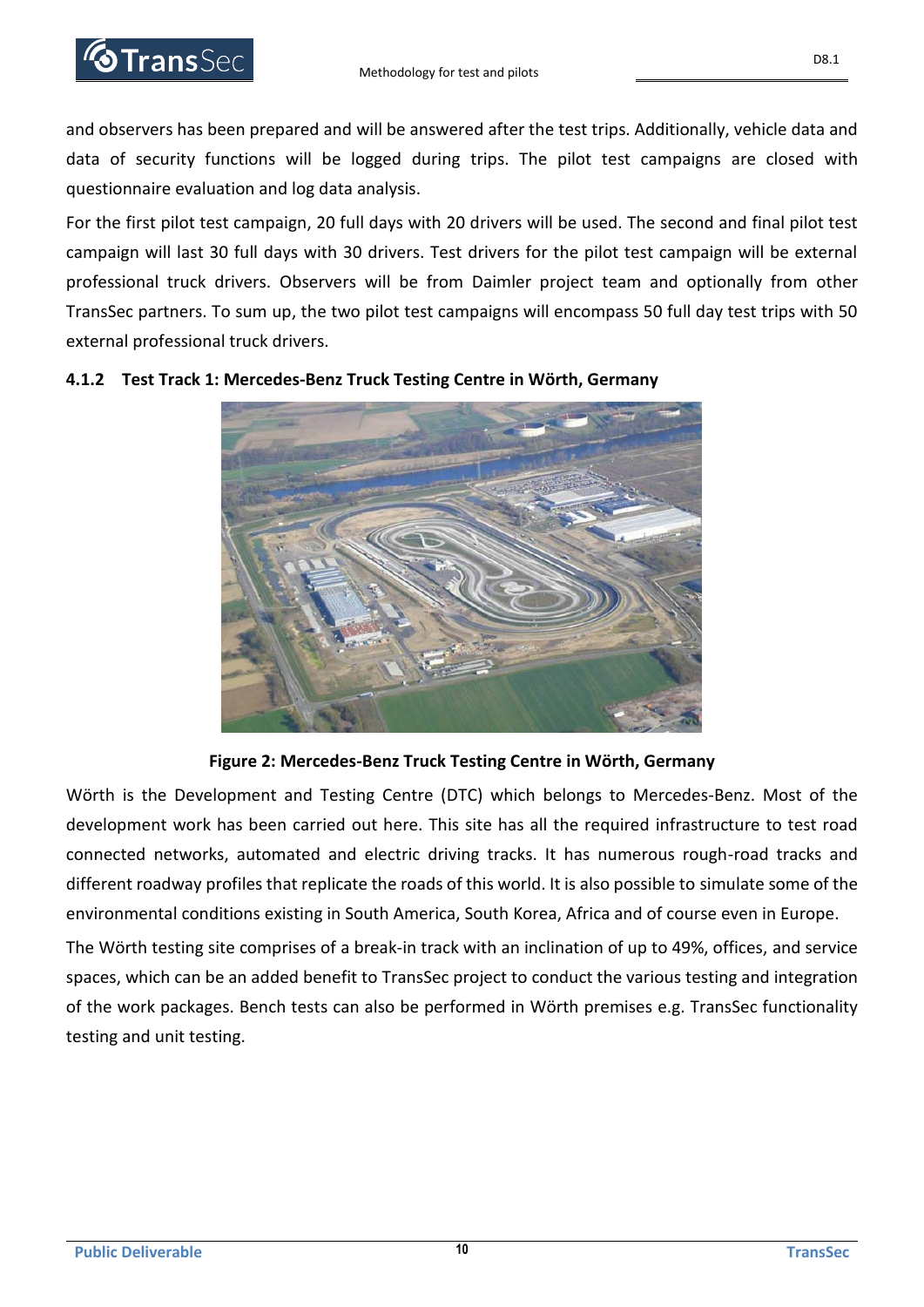

and observers has been prepared and will be answered after the test trips. Additionally, vehicle data and data of security functions will be logged during trips. The pilot test campaigns are closed with questionnaire evaluation and log data analysis.

For the first pilot test campaign, 20 full days with 20 drivers will be used. The second and final pilot test campaign will last 30 full days with 30 drivers. Test drivers for the pilot test campaign will be external professional truck drivers. Observers will be from Daimler project team and optionally from other TransSec partners. To sum up, the two pilot test campaigns will encompass 50 full day test trips with 50 external professional truck drivers.



#### <span id="page-9-0"></span>**4.1.2 Test Track 1: Mercedes-Benz Truck Testing Centre in Wörth, Germany**

**Figure 2: Mercedes-Benz Truck Testing Centre in Wörth, Germany**

Wörth is the Development and Testing Centre (DTC) which belongs to Mercedes-Benz. Most of the development work has been carried out here. This site has all the required infrastructure to test road connected networks, automated and electric driving tracks. It has numerous rough-road tracks and different roadway profiles that replicate the roads of this world. It is also possible to simulate some of the environmental conditions existing in South America, South Korea, Africa and of course even in Europe.

The Wörth testing site comprises of a break-in track with an inclination of up to 49%, offices, and service spaces, which can be an added benefit to TransSec project to conduct the various testing and integration of the work packages. Bench tests can also be performed in Wörth premises e.g. TransSec functionality testing and unit testing.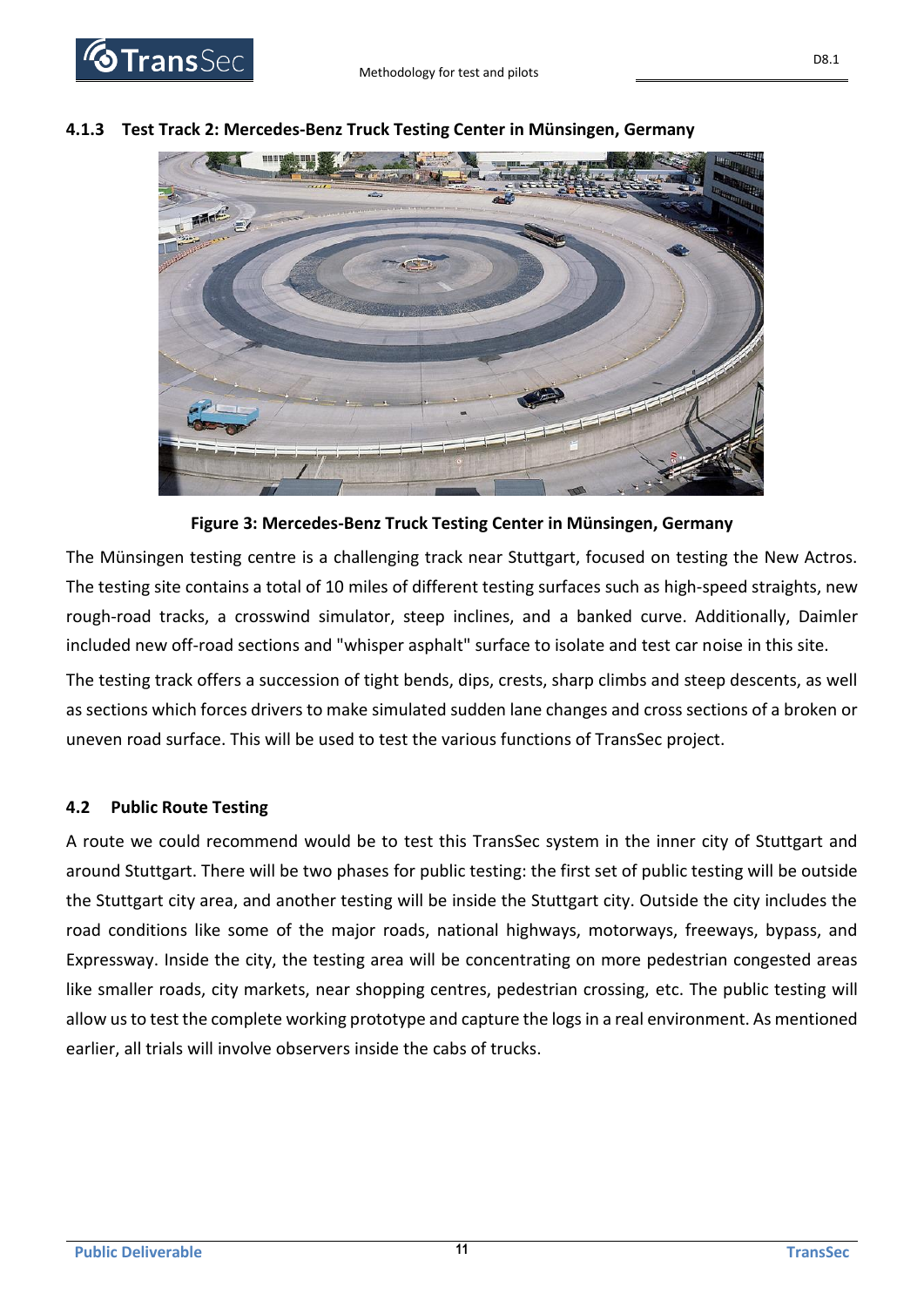

#### <span id="page-10-0"></span>**4.1.3 Test Track 2: Mercedes-Benz Truck Testing Center in Münsingen, Germany**



The Münsingen testing centre is a challenging track near Stuttgart, focused on testing the New Actros. The testing site contains a total of 10 miles of different testing surfaces such as high-speed straights, new rough-road tracks, a crosswind simulator, steep inclines, and a banked curve. Additionally, Daimler included new off-road sections and "whisper asphalt" surface to isolate and test car noise in this site.

The testing track offers a succession of tight bends, dips, crests, sharp climbs and steep descents, as well as sections which forces drivers to make simulated sudden lane changes and cross sections of a broken or uneven road surface. This will be used to test the various functions of TransSec project.

#### <span id="page-10-1"></span>**4.2 Public Route Testing**

A route we could recommend would be to test this TransSec system in the inner city of Stuttgart and around Stuttgart. There will be two phases for public testing: the first set of public testing will be outside the Stuttgart city area, and another testing will be inside the Stuttgart city. Outside the city includes the road conditions like some of the major roads, national highways, motorways, freeways, bypass, and Expressway. Inside the city, the testing area will be concentrating on more pedestrian congested areas like smaller roads, city markets, near shopping centres, pedestrian crossing, etc. The public testing will allow us to test the complete working prototype and capture the logs in a real environment. As mentioned earlier, all trials will involve observers inside the cabs of trucks.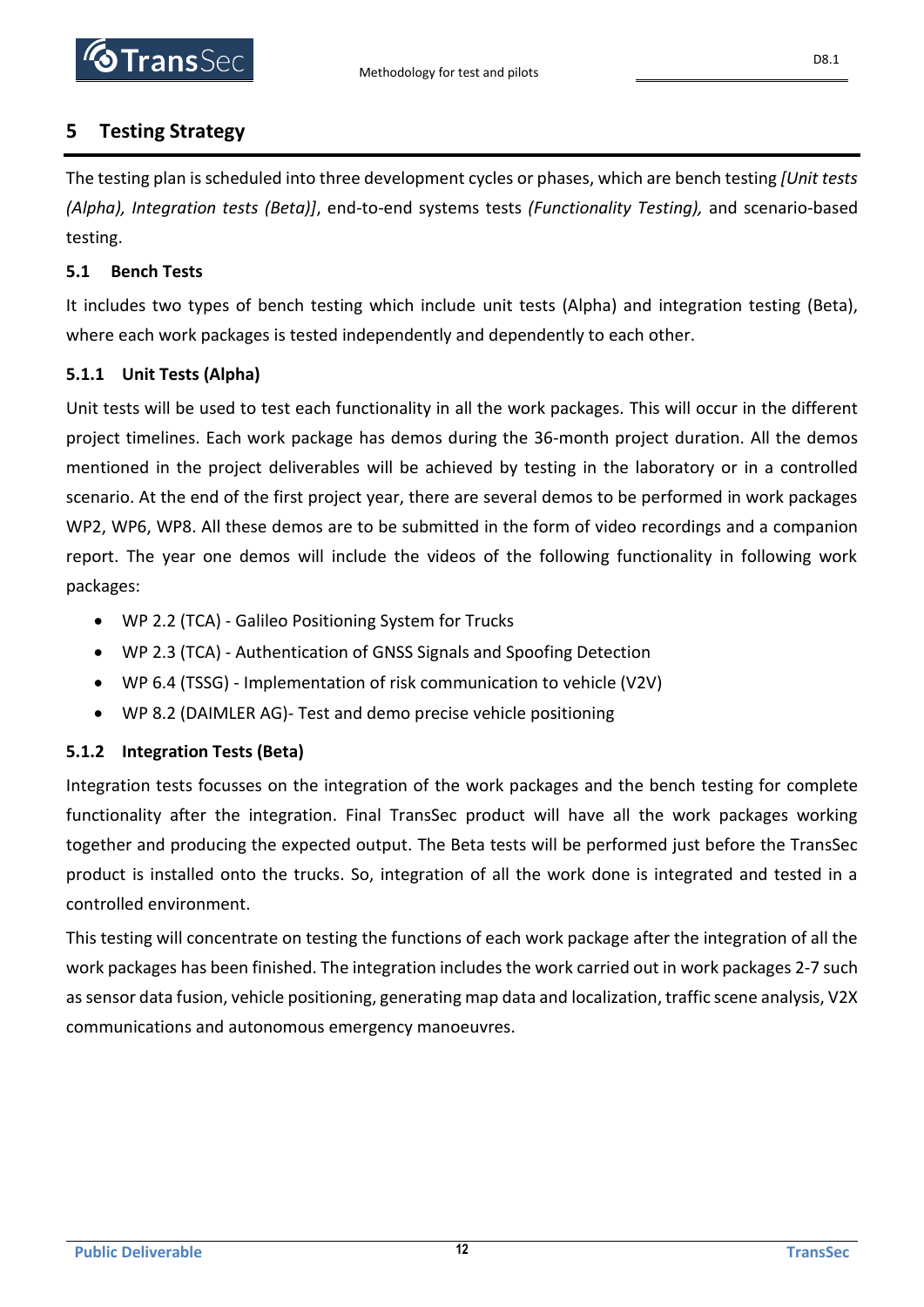

### <span id="page-11-0"></span>**5 Testing Strategy**

The testing plan is scheduled into three development cycles or phases, which are bench testing *[Unit tests (Alpha), Integration tests (Beta)]*, end-to-end systems tests *(Functionality Testing),* and scenario-based testing.

#### <span id="page-11-1"></span>**5.1 Bench Tests**

It includes two types of bench testing which include unit tests (Alpha) and integration testing (Beta), where each work packages is tested independently and dependently to each other.

#### <span id="page-11-2"></span>**5.1.1 Unit Tests (Alpha)**

Unit tests will be used to test each functionality in all the work packages. This will occur in the different project timelines. Each work package has demos during the 36-month project duration. All the demos mentioned in the project deliverables will be achieved by testing in the laboratory or in a controlled scenario. At the end of the first project year, there are several demos to be performed in work packages WP2, WP6, WP8. All these demos are to be submitted in the form of video recordings and a companion report. The year one demos will include the videos of the following functionality in following work packages:

- WP 2.2 (TCA) Galileo Positioning System for Trucks
- WP 2.3 (TCA) Authentication of GNSS Signals and Spoofing Detection
- WP 6.4 (TSSG) Implementation of risk communication to vehicle (V2V)
- WP 8.2 (DAIMLER AG)- Test and demo precise vehicle positioning

#### <span id="page-11-3"></span>**5.1.2 Integration Tests (Beta)**

Integration tests focusses on the integration of the work packages and the bench testing for complete functionality after the integration. Final TransSec product will have all the work packages working together and producing the expected output. The Beta tests will be performed just before the TransSec product is installed onto the trucks. So, integration of all the work done is integrated and tested in a controlled environment.

This testing will concentrate on testing the functions of each work package after the integration of all the work packages has been finished. The integration includes the work carried out in work packages 2-7 such as sensor data fusion, vehicle positioning, generating map data and localization, traffic scene analysis, V2X communications and autonomous emergency manoeuvres.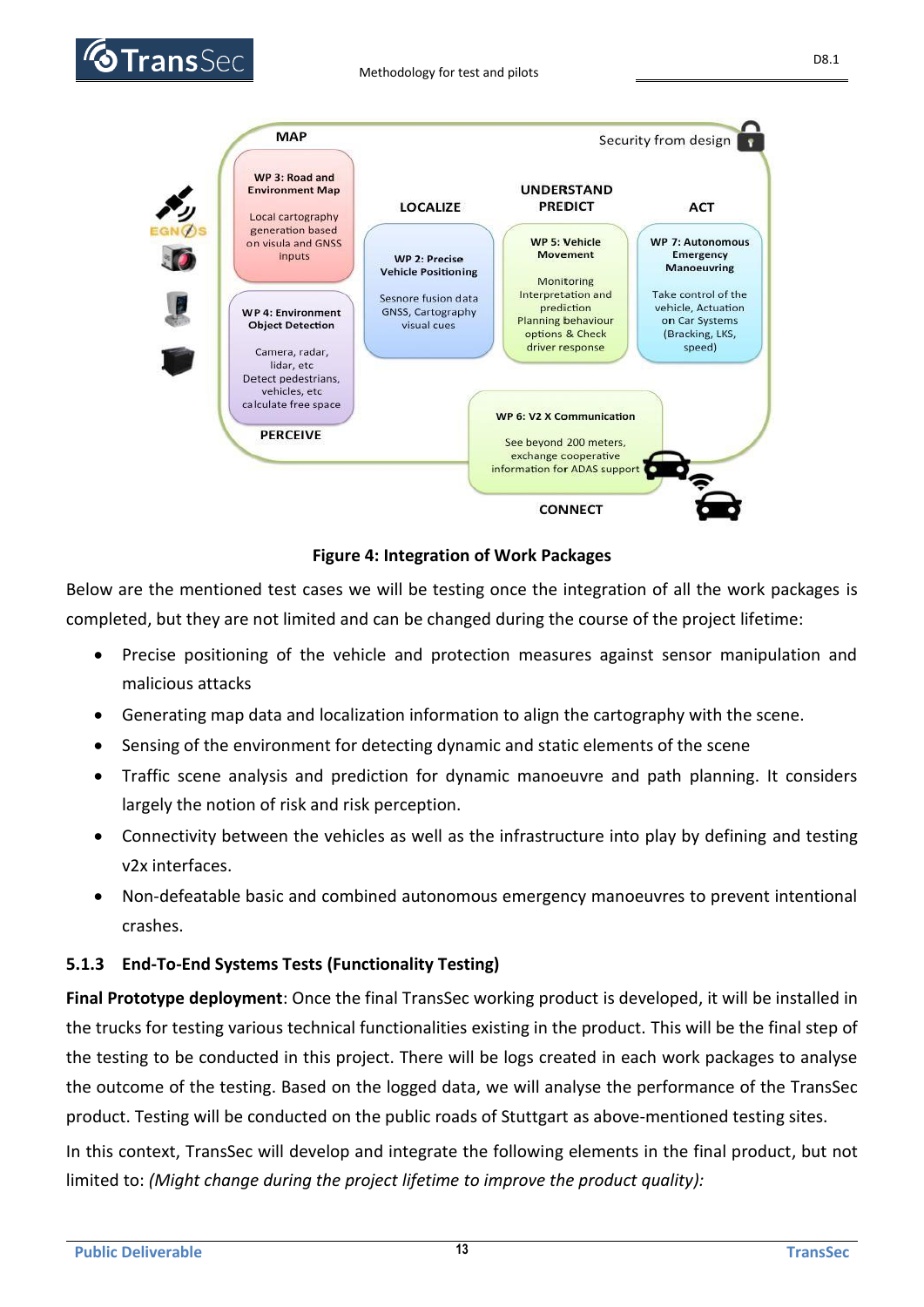



#### **Figure 4: Integration of Work Packages**

Below are the mentioned test cases we will be testing once the integration of all the work packages is completed, but they are not limited and can be changed during the course of the project lifetime:

- Precise positioning of the vehicle and protection measures against sensor manipulation and malicious attacks
- Generating map data and localization information to align the cartography with the scene.
- Sensing of the environment for detecting dynamic and static elements of the scene
- Traffic scene analysis and prediction for dynamic manoeuvre and path planning. It considers largely the notion of risk and risk perception.
- Connectivity between the vehicles as well as the infrastructure into play by defining and testing v2x interfaces.
- Non-defeatable basic and combined autonomous emergency manoeuvres to prevent intentional crashes.

### <span id="page-12-0"></span>**5.1.3 End-To-End Systems Tests (Functionality Testing)**

**Final Prototype deployment**: Once the final TransSec working product is developed, it will be installed in the trucks for testing various technical functionalities existing in the product. This will be the final step of the testing to be conducted in this project. There will be logs created in each work packages to analyse the outcome of the testing. Based on the logged data, we will analyse the performance of the TransSec product. Testing will be conducted on the public roads of Stuttgart as above-mentioned testing sites.

In this context, TransSec will develop and integrate the following elements in the final product, but not limited to: *(Might change during the project lifetime to improve the product quality):*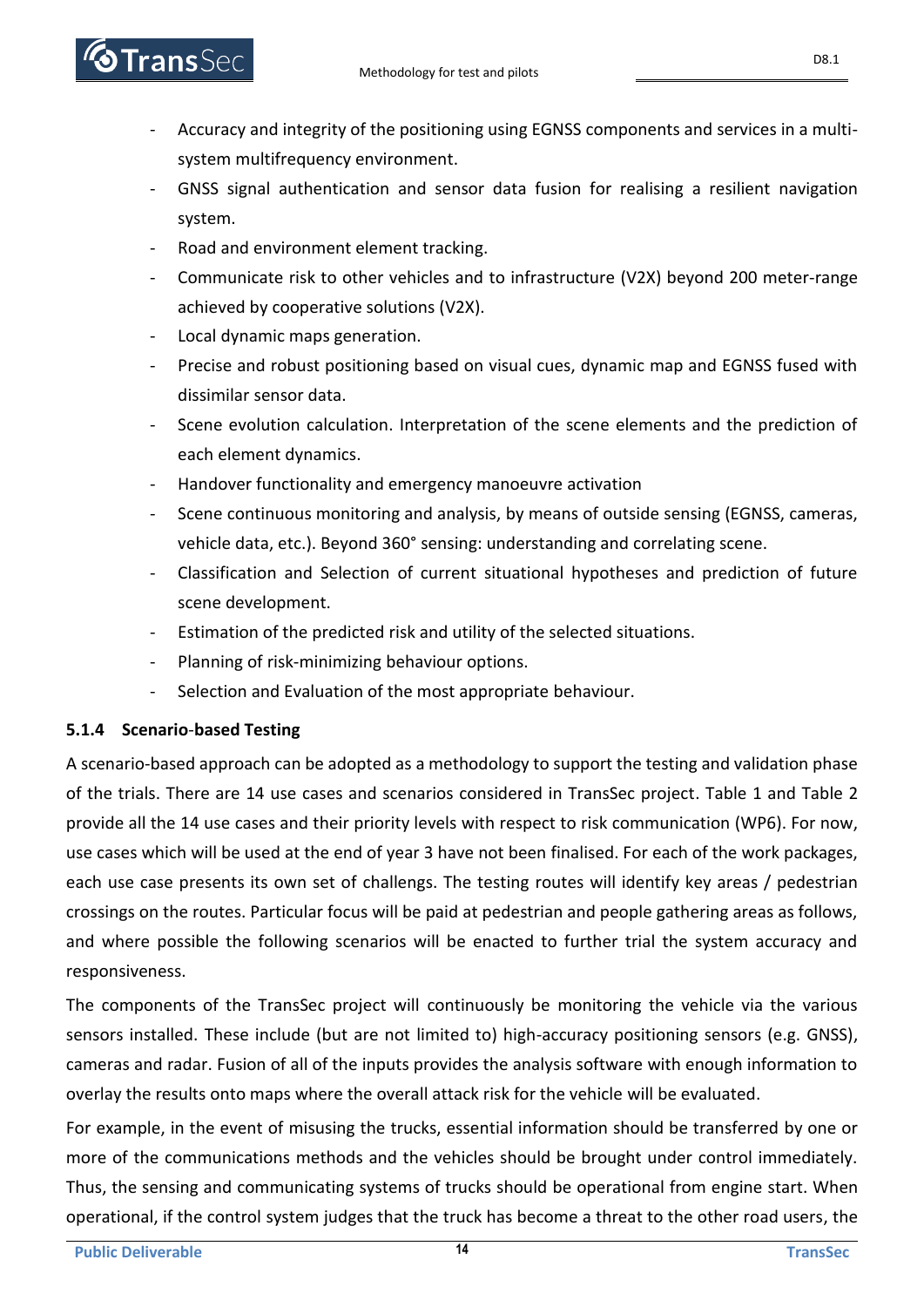- **Trans** Sec
	- Accuracy and integrity of the positioning using EGNSS components and services in a multisystem multifrequency environment.
	- GNSS signal authentication and sensor data fusion for realising a resilient navigation system.
	- Road and environment element tracking.
	- Communicate risk to other vehicles and to infrastructure (V2X) beyond 200 meter-range achieved by cooperative solutions (V2X).
	- Local dynamic maps generation.
	- Precise and robust positioning based on visual cues, dynamic map and EGNSS fused with dissimilar sensor data.
	- Scene evolution calculation. Interpretation of the scene elements and the prediction of each element dynamics.
	- Handover functionality and emergency manoeuvre activation
	- Scene continuous monitoring and analysis, by means of outside sensing (EGNSS, cameras, vehicle data, etc.). Beyond 360° sensing: understanding and correlating scene.
	- Classification and Selection of current situational hypotheses and prediction of future scene development.
	- Estimation of the predicted risk and utility of the selected situations.
	- Planning of risk-minimizing behaviour options.
	- Selection and Evaluation of the most appropriate behaviour.

### <span id="page-13-0"></span>**5.1.4 Scenario**-**based Testing**

A scenario-based approach can be adopted as a methodology to support the testing and validation phase of the trials. There are 14 use cases and scenarios considered in TransSec project. Table 1 and Table 2 provide all the 14 use cases and their priority levels with respect to risk communication (WP6). For now, use cases which will be used at the end of year 3 have not been finalised. For each of the work packages, each use case presents its own set of challengs. The testing routes will identify key areas / pedestrian crossings on the routes. Particular focus will be paid at pedestrian and people gathering areas as follows, and where possible the following scenarios will be enacted to further trial the system accuracy and responsiveness.

The components of the TransSec project will continuously be monitoring the vehicle via the various sensors installed. These include (but are not limited to) high-accuracy positioning sensors (e.g. GNSS), cameras and radar. Fusion of all of the inputs provides the analysis software with enough information to overlay the results onto maps where the overall attack risk for the vehicle will be evaluated.

For example, in the event of misusing the trucks, essential information should be transferred by one or more of the communications methods and the vehicles should be brought under control immediately. Thus, the sensing and communicating systems of trucks should be operational from engine start. When operational, if the control system judges that the truck has become a threat to the other road users, the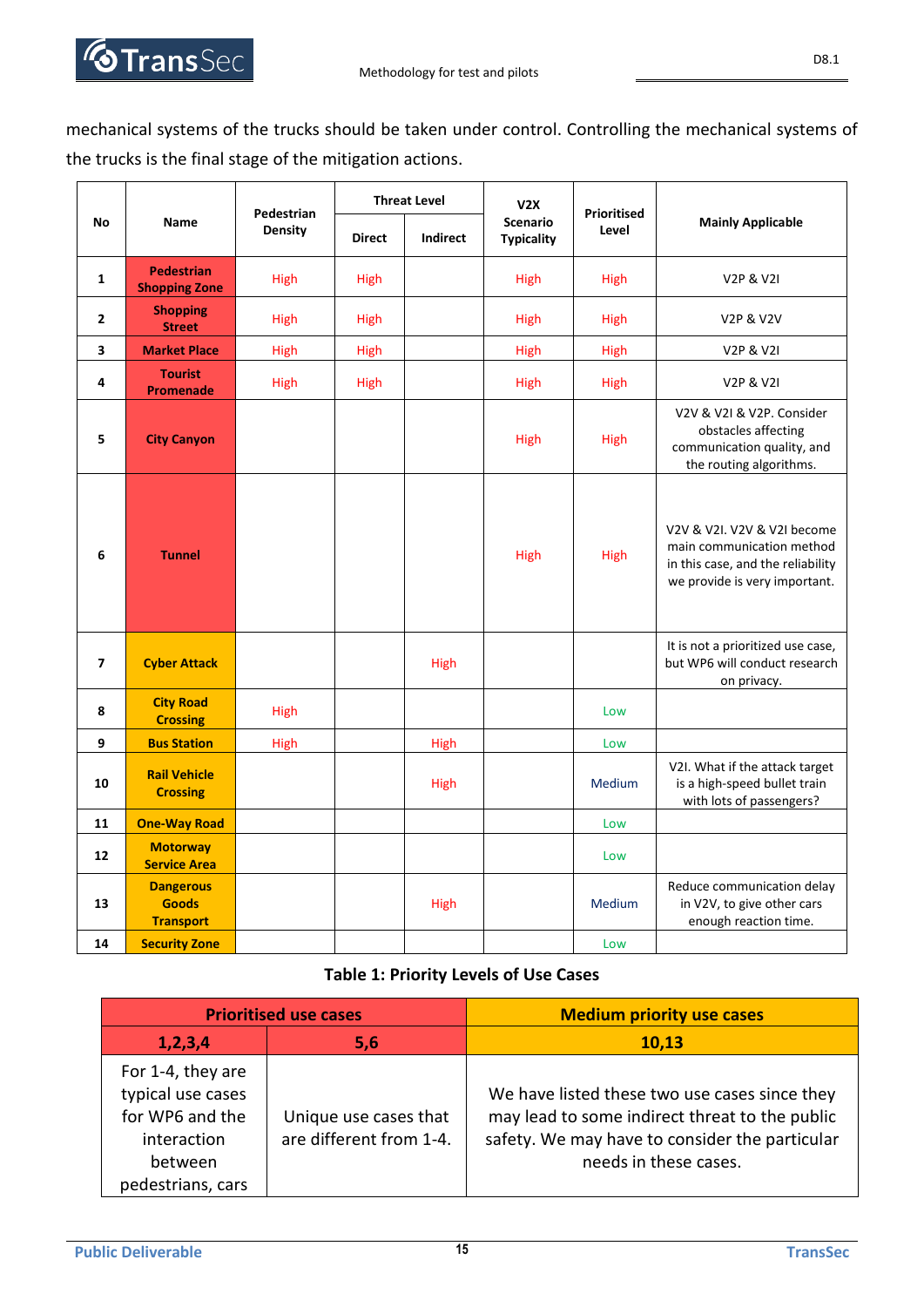

|                         |                                                      |                | <b>Threat Level</b><br>Pedestrian |             | V2X                                  |                      |                                                                                                                                |
|-------------------------|------------------------------------------------------|----------------|-----------------------------------|-------------|--------------------------------------|----------------------|--------------------------------------------------------------------------------------------------------------------------------|
| <b>No</b>               | Name                                                 | <b>Density</b> | <b>Direct</b>                     | Indirect    | <b>Scenario</b><br><b>Typicality</b> | Prioritised<br>Level | <b>Mainly Applicable</b>                                                                                                       |
| $\mathbf{1}$            | <b>Pedestrian</b><br><b>Shopping Zone</b>            | High           | <b>High</b>                       |             | <b>High</b>                          | <b>High</b>          | <b>V2P &amp; V2I</b>                                                                                                           |
| $\mathbf{2}$            | <b>Shopping</b><br><b>Street</b>                     | High           | High                              |             | High                                 | High                 | V2P & V2V                                                                                                                      |
| 3                       | <b>Market Place</b>                                  | High           | High                              |             | High                                 | High                 | <b>V2P &amp; V2I</b>                                                                                                           |
| 4                       | <b>Tourist</b><br><b>Promenade</b>                   | <b>High</b>    | <b>High</b>                       |             | <b>High</b>                          | <b>High</b>          | <b>V2P &amp; V2I</b>                                                                                                           |
| 5                       | <b>City Canyon</b>                                   |                |                                   |             | High                                 | High                 | V2V & V2I & V2P. Consider<br>obstacles affecting<br>communication quality, and<br>the routing algorithms.                      |
| 6                       | <b>Tunnel</b>                                        |                |                                   |             | High                                 | High                 | V2V & V2I. V2V & V2I become<br>main communication method<br>in this case, and the reliability<br>we provide is very important. |
| $\overline{\mathbf{z}}$ | <b>Cyber Attack</b>                                  |                |                                   | High        |                                      |                      | It is not a prioritized use case,<br>but WP6 will conduct research<br>on privacy.                                              |
| 8                       | <b>City Road</b><br><b>Crossing</b>                  | <b>High</b>    |                                   |             |                                      | Low                  |                                                                                                                                |
| 9                       | <b>Bus Station</b>                                   | <b>High</b>    |                                   | <b>High</b> |                                      | Low                  |                                                                                                                                |
| 10                      | <b>Rail Vehicle</b><br><b>Crossing</b>               |                |                                   | <b>High</b> |                                      | Medium               | V2I. What if the attack target<br>is a high-speed bullet train<br>with lots of passengers?                                     |
| 11                      | <b>One-Way Road</b>                                  |                |                                   |             |                                      | Low                  |                                                                                                                                |
| 12                      | <b>Motorway</b><br><b>Service Area</b>               |                |                                   |             |                                      | Low                  |                                                                                                                                |
| 13                      | <b>Dangerous</b><br><b>Goods</b><br><b>Transport</b> |                |                                   | <b>High</b> |                                      | Medium               | Reduce communication delay<br>in V2V, to give other cars<br>enough reaction time.                                              |
| 14                      | <b>Security Zone</b>                                 |                |                                   |             |                                      | Low                  |                                                                                                                                |

#### **Table 1: Priority Levels of Use Cases**

|                                                                                                          | <b>Prioritised use cases</b>                     | <b>Medium priority use cases</b>                                                                                                                                           |
|----------------------------------------------------------------------------------------------------------|--------------------------------------------------|----------------------------------------------------------------------------------------------------------------------------------------------------------------------------|
| 1,2,3,4                                                                                                  | 5,6                                              | 10,13                                                                                                                                                                      |
| For 1-4, they are<br>typical use cases<br>for WP6 and the<br>interaction<br>between<br>pedestrians, cars | Unique use cases that<br>are different from 1-4. | We have listed these two use cases since they<br>may lead to some indirect threat to the public<br>safety. We may have to consider the particular<br>needs in these cases. |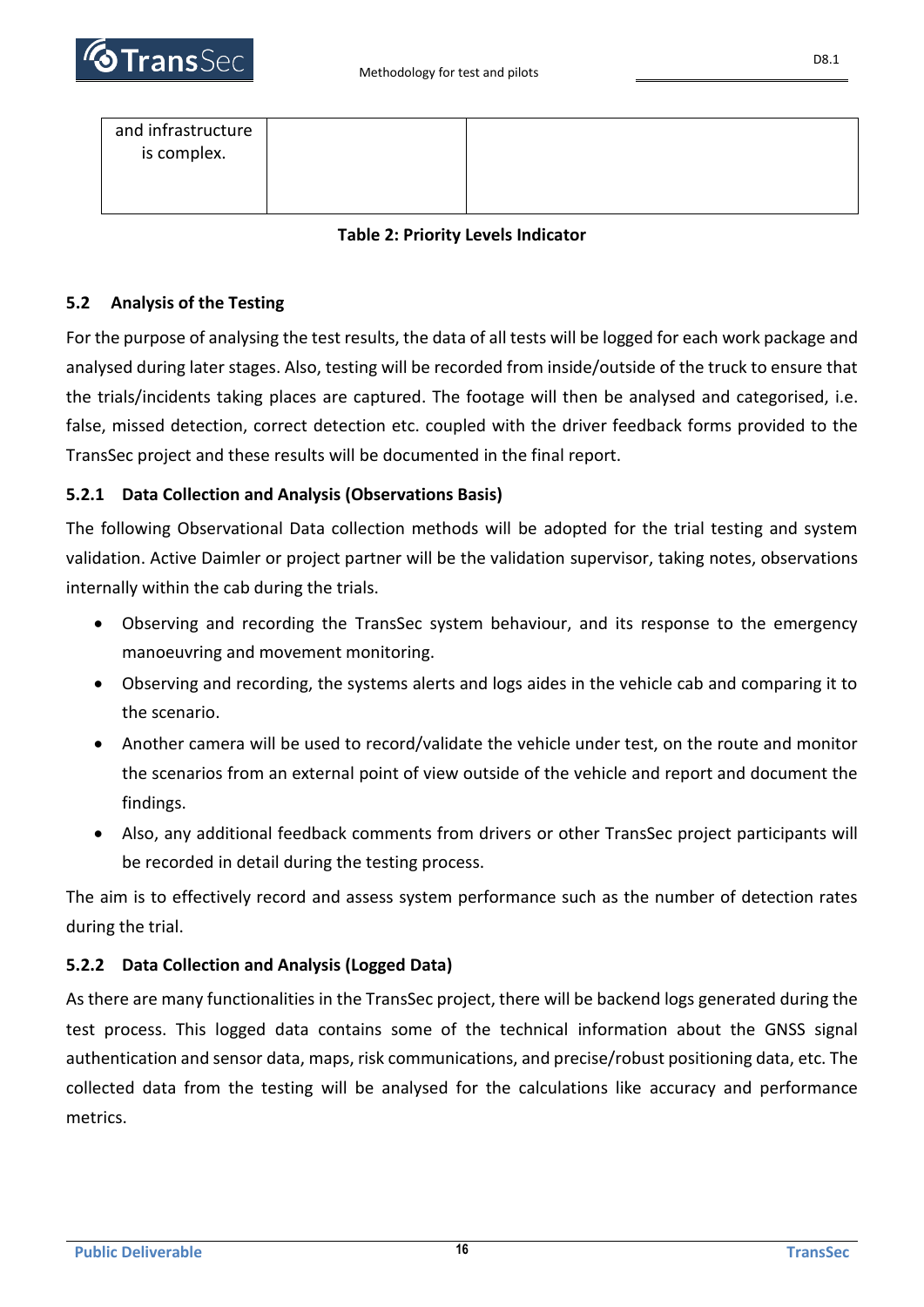

| and infrastructure<br>is complex. |  |
|-----------------------------------|--|
|                                   |  |
|                                   |  |

#### **Table 2: Priority Levels Indicator**

#### <span id="page-15-0"></span>**5.2 Analysis of the Testing**

For the purpose of analysing the test results, the data of all tests will be logged for each work package and analysed during later stages. Also, testing will be recorded from inside/outside of the truck to ensure that the trials/incidents taking places are captured. The footage will then be analysed and categorised, i.e. false, missed detection, correct detection etc. coupled with the driver feedback forms provided to the TransSec project and these results will be documented in the final report.

#### <span id="page-15-1"></span>**5.2.1 Data Collection and Analysis (Observations Basis)**

The following Observational Data collection methods will be adopted for the trial testing and system validation. Active Daimler or project partner will be the validation supervisor, taking notes, observations internally within the cab during the trials.

- Observing and recording the TransSec system behaviour, and its response to the emergency manoeuvring and movement monitoring.
- Observing and recording, the systems alerts and logs aides in the vehicle cab and comparing it to the scenario.
- Another camera will be used to record/validate the vehicle under test, on the route and monitor the scenarios from an external point of view outside of the vehicle and report and document the findings.
- Also, any additional feedback comments from drivers or other TransSec project participants will be recorded in detail during the testing process.

The aim is to effectively record and assess system performance such as the number of detection rates during the trial.

#### <span id="page-15-2"></span>**5.2.2 Data Collection and Analysis (Logged Data)**

As there are many functionalities in the TransSec project, there will be backend logs generated during the test process. This logged data contains some of the technical information about the GNSS signal authentication and sensor data, maps, risk communications, and precise/robust positioning data, etc. The collected data from the testing will be analysed for the calculations like accuracy and performance metrics.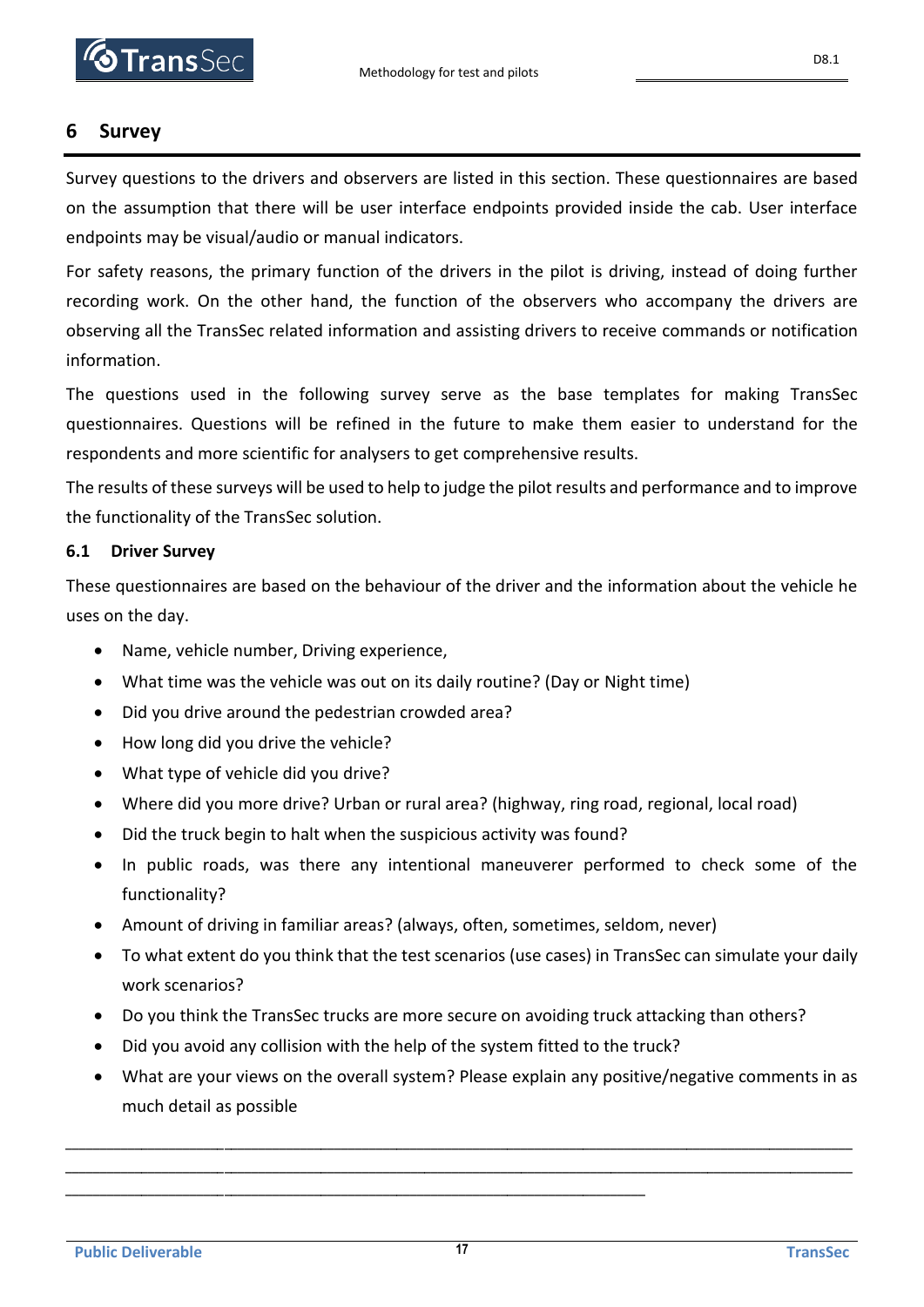### <span id="page-16-0"></span>**6 Survey**

Survey questions to the drivers and observers are listed in this section. These questionnaires are based on the assumption that there will be user interface endpoints provided inside the cab. User interface endpoints may be visual/audio or manual indicators.

For safety reasons, the primary function of the drivers in the pilot is driving, instead of doing further recording work. On the other hand, the function of the observers who accompany the drivers are observing all the TransSec related information and assisting drivers to receive commands or notification information.

The questions used in the following survey serve as the base templates for making TransSec questionnaires. Questions will be refined in the future to make them easier to understand for the respondents and more scientific for analysers to get comprehensive results.

The results of these surveys will be used to help to judge the pilot results and performance and to improve the functionality of the TransSec solution.

#### <span id="page-16-1"></span>**6.1 Driver Survey**

These questionnaires are based on the behaviour of the driver and the information about the vehicle he uses on the day.

- Name, vehicle number, Driving experience,
- What time was the vehicle was out on its daily routine? (Day or Night time)
- Did you drive around the pedestrian crowded area?
- How long did you drive the vehicle?
- What type of vehicle did you drive?
- Where did you more drive? Urban or rural area? (highway, ring road, regional, local road)
- Did the truck begin to halt when the suspicious activity was found?
- In public roads, was there any intentional maneuverer performed to check some of the functionality?
- Amount of driving in familiar areas? (always, often, sometimes, seldom, never)
- To what extent do you think that the test scenarios (use cases) in TransSec can simulate your daily work scenarios?
- Do you think the TransSec trucks are more secure on avoiding truck attacking than others?
- Did you avoid any collision with the help of the system fitted to the truck?

\_\_\_\_\_\_\_\_\_\_\_\_\_\_\_\_\_\_\_\_\_\_\_\_\_\_\_\_\_\_\_\_\_\_\_\_\_\_\_\_\_\_\_\_\_\_\_\_\_\_\_\_\_\_\_\_\_\_\_\_\_\_\_\_\_\_\_\_\_\_\_\_\_\_\_\_\_\_\_\_\_\_\_\_

• What are your views on the overall system? Please explain any positive/negative comments in as much detail as possible

\_\_\_\_\_\_\_\_\_\_\_\_\_\_\_\_\_\_\_\_\_\_\_\_\_\_\_\_\_\_\_\_\_\_\_\_\_\_\_\_\_\_\_\_\_\_\_\_\_\_\_\_\_\_\_\_\_\_\_\_\_\_\_\_\_\_\_\_\_\_\_\_\_\_\_\_\_\_\_\_\_\_\_\_\_\_\_\_\_\_\_\_\_\_\_\_\_\_\_\_\_\_\_\_\_\_\_\_\_\_\_\_\_\_ \_\_\_\_\_\_\_\_\_\_\_\_\_\_\_\_\_\_\_\_\_\_\_\_\_\_\_\_\_\_\_\_\_\_\_\_\_\_\_\_\_\_\_\_\_\_\_\_\_\_\_\_\_\_\_\_\_\_\_\_\_\_\_\_\_\_\_\_\_\_\_\_\_\_\_\_\_\_\_\_\_\_\_\_\_\_\_\_\_\_\_\_\_\_\_\_\_\_\_\_\_\_\_\_\_\_\_\_\_\_\_\_\_\_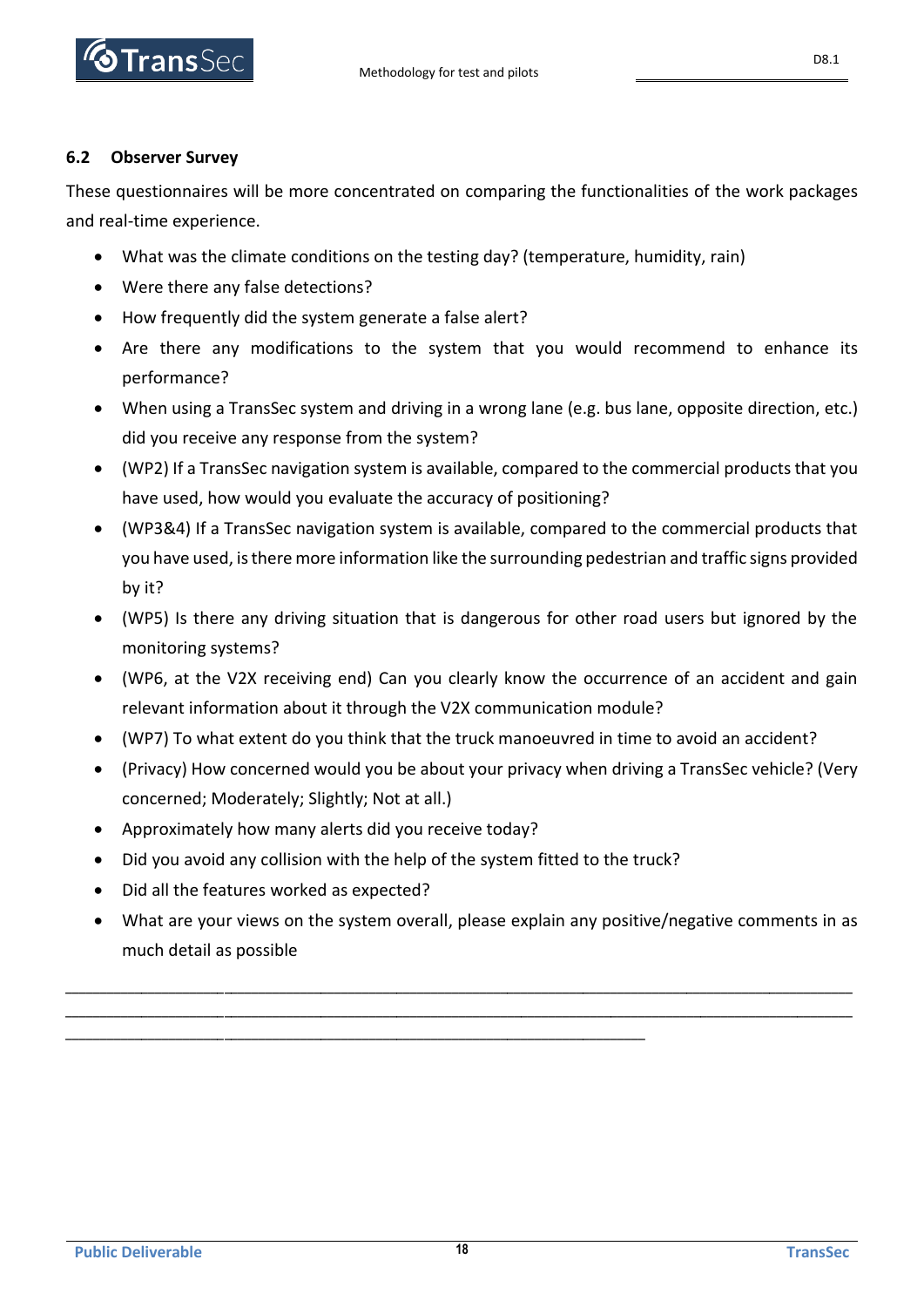

#### <span id="page-17-0"></span>**6.2 Observer Survey**

These questionnaires will be more concentrated on comparing the functionalities of the work packages and real-time experience.

- What was the climate conditions on the testing day? (temperature, humidity, rain)
- Were there any false detections?
- How frequently did the system generate a false alert?
- Are there any modifications to the system that you would recommend to enhance its performance?
- When using a TransSec system and driving in a wrong lane (e.g. bus lane, opposite direction, etc.) did you receive any response from the system?
- (WP2) If a TransSec navigation system is available, compared to the commercial products that you have used, how would you evaluate the accuracy of positioning?
- (WP3&4) If a TransSec navigation system is available, compared to the commercial products that you have used, is there more information like the surrounding pedestrian and traffic signs provided by it?
- (WP5) Is there any driving situation that is dangerous for other road users but ignored by the monitoring systems?
- (WP6, at the V2X receiving end) Can you clearly know the occurrence of an accident and gain relevant information about it through the V2X communication module?
- (WP7) To what extent do you think that the truck manoeuvred in time to avoid an accident?
- (Privacy) How concerned would you be about your privacy when driving a TransSec vehicle? (Very concerned; Moderately; Slightly; Not at all.)
- Approximately how many alerts did you receive today?
- Did you avoid any collision with the help of the system fitted to the truck?

\_\_\_\_\_\_\_\_\_\_\_\_\_\_\_\_\_\_\_\_\_\_\_\_\_\_\_\_\_\_\_\_\_\_\_\_\_\_\_\_\_\_\_\_\_\_\_\_\_\_\_\_\_\_\_\_\_\_\_\_\_\_\_\_\_\_\_\_\_\_\_\_\_\_\_\_\_\_\_\_\_\_\_\_

- Did all the features worked as expected?
- What are your views on the system overall, please explain any positive/negative comments in as much detail as possible

\_\_\_\_\_\_\_\_\_\_\_\_\_\_\_\_\_\_\_\_\_\_\_\_\_\_\_\_\_\_\_\_\_\_\_\_\_\_\_\_\_\_\_\_\_\_\_\_\_\_\_\_\_\_\_\_\_\_\_\_\_\_\_\_\_\_\_\_\_\_\_\_\_\_\_\_\_\_\_\_\_\_\_\_\_\_\_\_\_\_\_\_\_\_\_\_\_\_\_\_\_\_\_\_\_\_\_\_\_\_\_\_\_\_ \_\_\_\_\_\_\_\_\_\_\_\_\_\_\_\_\_\_\_\_\_\_\_\_\_\_\_\_\_\_\_\_\_\_\_\_\_\_\_\_\_\_\_\_\_\_\_\_\_\_\_\_\_\_\_\_\_\_\_\_\_\_\_\_\_\_\_\_\_\_\_\_\_\_\_\_\_\_\_\_\_\_\_\_\_\_\_\_\_\_\_\_\_\_\_\_\_\_\_\_\_\_\_\_\_\_\_\_\_\_\_\_\_\_